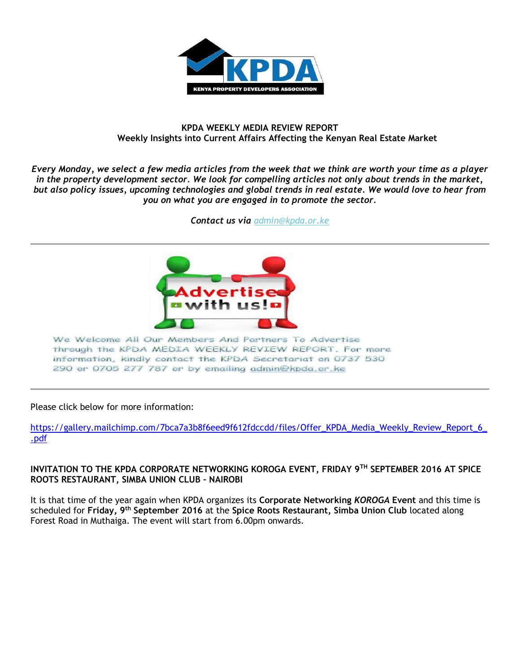

#### **KPDA WEEKLY MEDIA REVIEW REPORT Weekly Insights into Current Affairs Affecting the Kenyan Real Estate Market**

*Every Monday, we select a few media articles from the week that we think are worth your time as a player in the property development sector. We look for compelling articles not only about trends in the market, but also policy issues, upcoming technologies and global trends in real estate. We would love to hear from you on what you are engaged in to promote the sector.*

*Contact us via [admin@kpda.or](mailto:admin@kpda.or.ke).ke*



We Welcome All Our Members And Partners To Advertise through the KPDA MEDIA WEEKLY REVIEW REPORT. For more information, kindly contact the KPDA Secretariat on 0737 530 290 or 0705 277 787 or by emailing admin@kpda.or.ke

#### Please click below for more information:

https://gallery.mailchimp.com/7bca7a3b8f6eed9f612fdccdd/files/Offer\_KPDA\_Media\_Weekly\_Review\_Report\_6 [.pdf](https://gallery.mailchimp.com/7bca7a3b8f6eed9f612fdccdd/files/Offer_KPDA_Media_Weekly_Review_Report_6_.pdf)

#### **INVITATION TO THE KPDA CORPORATE NETWORKING KOROGA EVENT, FRIDAY 9TH SEPTEMBER 2016 AT SPICE ROOTS RESTAURANT, SIMBA UNION CLUB – NAIROBI**

It is that time of the year again when KPDA organizes its **Corporate Networking** *KOROGA* **Event** and this time is scheduled for **Friday, 9th September 2016** at the **Spice Roots Restaurant, Simba Union Club** located along Forest Road in Muthaiga. The event will start from 6.00pm onwards.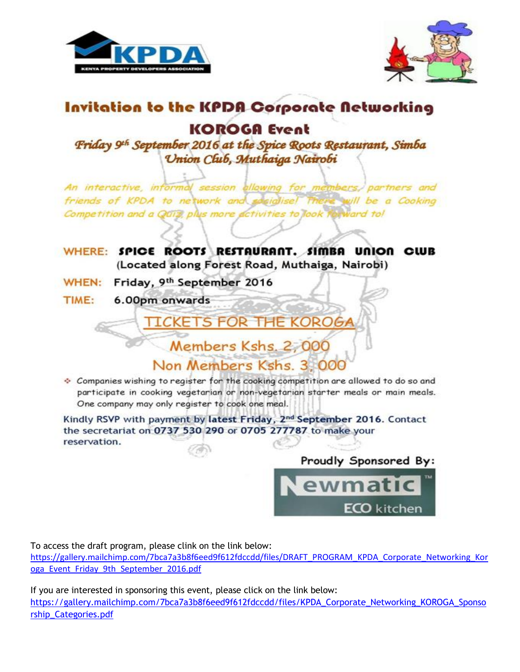



# Invitation to the KPDA Corporate Networking

# **KOROGA Event**

Friday 9th September 2016 at the Spice Roots Restaurant, Simba Union Club, Muthaiga Nairobi

An interactive, informal session allowing for members, partners and friends of KPDA to network and secialise) will be a Cooking Competition and a QUIZ, plus more activities to look forward to!

WHERE: SPICE ROOTS RESTAURANT. SIMBA UNION CLUB (Located along Forest Road, Muthaiga, Nairobi)

**TICKETS FOR THE KOROGA** 

- WHEN: Friday, 9th September 2016
- TIME: 6.00pm onwards



Companies wishing to register for the cooking competition are allowed to do so and participate in cooking vegetarian or non-vegetarian starter meals or main meals. One company may only register to cook one meal.

Kindly RSVP with payment by latest Friday, 2nd September 2016. Contact the secretariat on 0737 530 290 or 0705 277787 to make your reservation.

> Proudly Sponsored By: ewmatic **ECO** kitchen

To access the draft program, please clink on the link below:

https://gallery.mailchimp.com/7bca7a3b8f6eed9f612fdccdd/files/DRAFT PROGRAM KPDA Corporate Networking Kor oga Event Friday 9th September 2016.pdf

If you are interested in sponsoring this event, please click on the link below: https://gallery.mailchimp.com/7bca7a3b8f6eed9f612fdccdd/files/KPDA Corporate Networking KOROGA Sponso rship\_Categories.pdf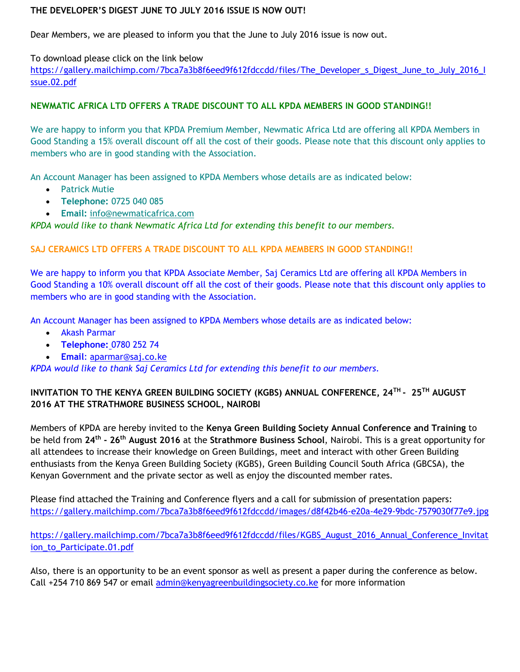# **THE DEVELOPER'S DIGEST JUNE TO JULY 2016 ISSUE IS NOW OUT!**

Dear Members, we are pleased to inform you that the June to July 2016 issue is now out.

To download please click on the link below [https://gallery.mailchimp.com/7bca7a3b8f6eed9f612fdccdd/files/The\\_Developer\\_s\\_Digest\\_June\\_to\\_July\\_2016\\_I](https://gallery.mailchimp.com/7bca7a3b8f6eed9f612fdccdd/files/The_Developer_s_Digest_June_to_July_2016_Issue.02.pdf) [ssue.02.pdf](https://gallery.mailchimp.com/7bca7a3b8f6eed9f612fdccdd/files/The_Developer_s_Digest_June_to_July_2016_Issue.02.pdf)

#### **NEWMATIC AFRICA LTD OFFERS A TRADE DISCOUNT TO ALL KPDA MEMBERS IN GOOD STANDING!!**

We are happy to inform you that KPDA Premium Member, Newmatic Africa Ltd are offering all KPDA Members in Good Standing a 15% overall discount off all the cost of their goods. Please note that this discount only applies to members who are in good standing with the Association.

An Account Manager has been assigned to KPDA Members whose details are as indicated below:

- Patrick Mutie
- **Telephone:** 0725 040 085
- **Email:** [info@newmaticafrica.com](mailto:info@newmaticafrica.com)

*KPDA would like to thank Newmatic Africa Ltd for extending this benefit to our members.*

#### **SAJ CERAMICS LTD OFFERS A TRADE DISCOUNT TO ALL KPDA MEMBERS IN GOOD STANDING!!**

We are happy to inform you that KPDA Associate Member, Saj Ceramics Ltd are offering all KPDA Members in Good Standing a 10% overall discount off all the cost of their goods. Please note that this discount only applies to members who are in good standing with the Association.

An Account Manager has been assigned to KPDA Members whose details are as indicated below:

- Akash Parmar
- **Telephone:** 0780 252 74
- **Email**: [aparmar@saj.co.ke](mailto:aparmar@saj.co.ke)

*KPDA would like to thank Saj Ceramics Ltd for extending this benefit to our members.*

# **INVITATION TO THE KENYA GREEN BUILDING SOCIETY (KGBS) ANNUAL CONFERENCE, 24TH - 25TH AUGUST 2016 AT THE STRATHMORE BUSINESS SCHOOL, NAIROBI**

Members of KPDA are hereby invited to the **Kenya Green Building Society Annual Conference and Training** to be held from **24th - 26th August 2016** at the **Strathmore Business School**, Nairobi. This is a great opportunity for all attendees to increase their knowledge on Green Buildings, meet and interact with other Green Building enthusiasts from the Kenya Green Building Society (KGBS), Green Building Council South Africa (GBCSA), the Kenyan Government and the private sector as well as enjoy the discounted member rates.

Please find attached the Training and Conference flyers and a call for submission of presentation papers: <https://gallery.mailchimp.com/7bca7a3b8f6eed9f612fdccdd/images/d8f42b46-e20a-4e29-9bdc-7579030f77e9.jpg>

[https://gallery.mailchimp.com/7bca7a3b8f6eed9f612fdccdd/files/KGBS\\_August\\_2016\\_Annual\\_Conference\\_Invitat](https://gallery.mailchimp.com/7bca7a3b8f6eed9f612fdccdd/files/KGBS_August_2016_Annual_Conference_Invitation_to_Participate.01.pdf) [ion\\_to\\_Participate.01.pdf](https://gallery.mailchimp.com/7bca7a3b8f6eed9f612fdccdd/files/KGBS_August_2016_Annual_Conference_Invitation_to_Participate.01.pdf)

Also, there is an opportunity to be an event sponsor as well as present a paper during the conference as below. Call +254 710 869 547 or email [admin@kenyagreenbuildingsociety.co.ke](mailto:admin@kenyagreenbuildingsociety.co.ke) for more information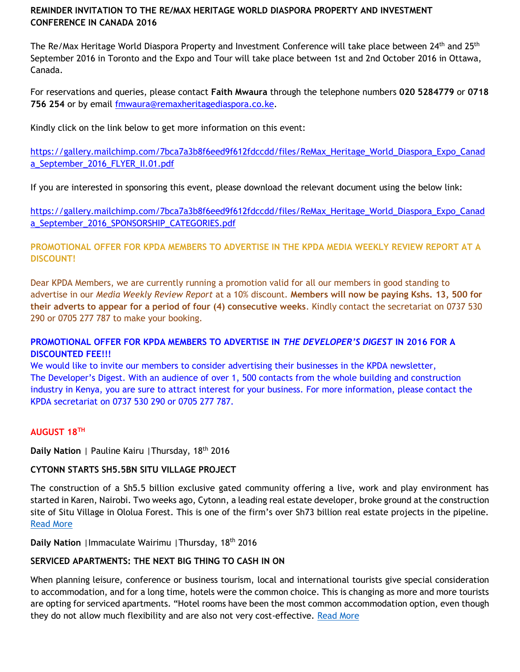# **REMINDER INVITATION TO THE RE/MAX HERITAGE WORLD DIASPORA PROPERTY AND INVESTMENT CONFERENCE IN CANADA 2016**

The Re/Max Heritage World Diaspora Property and Investment Conference will take place between 24<sup>th</sup> and 25<sup>th</sup> September 2016 in Toronto and the Expo and Tour will take place between 1st and 2nd October 2016 in Ottawa, Canada.

For reservations and queries, please contact **Faith Mwaura** through the telephone numbers **020 5284779** or **0718 756 254** or by email [fmwaura@remaxheritagediaspora.co.ke.](mailto:fmwaura@remaxheritagediaspora.co.ke)

Kindly click on the link below to get more information on this event:

[https://gallery.mailchimp.com/7bca7a3b8f6eed9f612fdccdd/files/ReMax\\_Heritage\\_World\\_Diaspora\\_Expo\\_Canad](https://gallery.mailchimp.com/7bca7a3b8f6eed9f612fdccdd/files/ReMax_Heritage_World_Diaspora_Expo_Canada_September_2016_FLYER_II.01.pdf) [a\\_September\\_2016\\_FLYER\\_II.01.pdf](https://gallery.mailchimp.com/7bca7a3b8f6eed9f612fdccdd/files/ReMax_Heritage_World_Diaspora_Expo_Canada_September_2016_FLYER_II.01.pdf)

If you are interested in sponsoring this event, please download the relevant document using the below link:

[https://gallery.mailchimp.com/7bca7a3b8f6eed9f612fdccdd/files/ReMax\\_Heritage\\_World\\_Diaspora\\_Expo\\_Canad](https://gallery.mailchimp.com/7bca7a3b8f6eed9f612fdccdd/files/ReMax_Heritage_World_Diaspora_Expo_Canada_September_2016_SPONSORSHIP_CATEGORIES.pdf) [a\\_September\\_2016\\_SPONSORSHIP\\_CATEGORIES.pdf](https://gallery.mailchimp.com/7bca7a3b8f6eed9f612fdccdd/files/ReMax_Heritage_World_Diaspora_Expo_Canada_September_2016_SPONSORSHIP_CATEGORIES.pdf)

**PROMOTIONAL OFFER FOR KPDA MEMBERS TO ADVERTISE IN THE KPDA MEDIA WEEKLY REVIEW REPORT AT A DISCOUNT!**

Dear KPDA Members, we are currently running a promotion valid for all our members in good standing to advertise in our *Media Weekly Review Report* at a 10% discount. **Members will now be paying Kshs. 13, 500 for their adverts to appear for a period of four (4) consecutive weeks**. Kindly contact the secretariat on 0737 530 290 or 0705 277 787 to make your booking.

# **PROMOTIONAL OFFER FOR KPDA MEMBERS TO ADVERTISE IN** *THE DEVELOPER'S DIGEST* **IN 2016 FOR A DISCOUNTED FEE!!!**

We would like to invite our members to consider advertising their businesses in the KPDA newsletter, The Developer's Digest. With an audience of over 1, 500 contacts from the whole building and construction industry in Kenya, you are sure to attract interest for your business. For more information, please contact the KPDA secretariat on 0737 530 290 or 0705 277 787.

# **AUGUST 18TH**

**Daily Nation** | Pauline Kairu |Thursday, 18th 2016

# **CYTONN STARTS SH5.5BN SITU VILLAGE PROJECT**

The construction of a Sh5.5 billion exclusive gated community offering a live, work and play environment has started in Karen, Nairobi. Two weeks ago, Cytonn, a leading real estate developer, broke ground at the construction site of Situ Village in Ololua Forest. This is one of the firm's over Sh73 billion real estate projects in the pipeline. [Read More](http://www.nation.co.ke/lifestyle/DN2/Cytonn-starts-Sh55bn-Situ-Village-project/957860-3348822-pbo11b/index.html)

**Daily Nation** |Immaculate Wairimu |Thursday, 18th 2016

# **SERVICED APARTMENTS: THE NEXT BIG THING TO CASH IN ON**

When planning leisure, conference or business tourism, local and international tourists give special consideration to accommodation, and for a long time, hotels were the common choice. This is changing as more and more tourists are opting for serviced apartments. "Hotel rooms have been the most common accommodation option, even though they do not allow much flexibility and are also not very cost-effective. [Read More](http://www.nation.co.ke/lifestyle/DN2/Serviced-apartments-The-next-big-thing-to-cash-in-on/957860-3348814-qw6busz/index.html)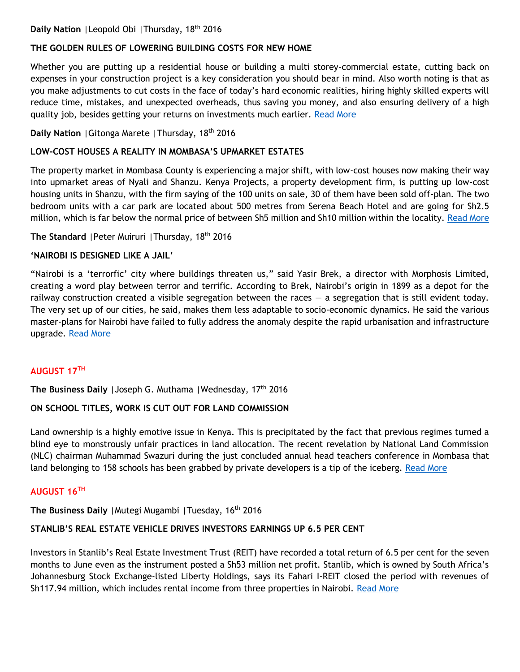# **THE GOLDEN RULES OF LOWERING BUILDING COSTS FOR NEW HOME**

Whether you are putting up a residential house or building a multi storey-commercial estate, cutting back on expenses in your construction project is a key consideration you should bear in mind. Also worth noting is that as you make adjustments to cut costs in the face of today's hard economic realities, hiring highly skilled experts will reduce time, mistakes, and unexpected overheads, thus saving you money, and also ensuring delivery of a high quality job, besides getting your returns on investments much earlier. [Read More](http://www.nation.co.ke/lifestyle/DN2/The-golden-rules-of-lowering-building-costs-for-new-home/957860-3348852-uk487x/index.html)

# **Daily Nation** |Gitonga Marete |Thursday, 18th 2016

#### **LOW-COST HOUSES A REALITY IN MOMBASA'S UPMARKET ESTATES**

The property market in Mombasa County is experiencing a major shift, with low-cost houses now making their way into upmarket areas of Nyali and Shanzu. Kenya Projects, a property development firm, is putting up low-cost housing units in Shanzu, with the firm saying of the 100 units on sale, 30 of them have been sold off-plan. The two bedroom units with a car park are located about 500 metres from Serena Beach Hotel and are going for Sh2.5 million, which is far below the normal price of between Sh5 million and Sh10 million within the locality. [Read More](http://www.nation.co.ke/lifestyle/DN2/Low-cost-houses-a-reality-in-Mombasas-upmarket-estates/957860-3348810-2jrmix/index.html)

**The Standard** |Peter Muiruri |Thursday, 18th 2016

#### **'NAIROBI IS DESIGNED LIKE A JAIL'**

"Nairobi is a 'terrorfic' city where buildings threaten us," said Yasir Brek, a director with Morphosis Limited, creating a word play between terror and terrific. According to Brek, Nairobi's origin in 1899 as a depot for the railway construction created a visible segregation between the races  $-$  a segregation that is still evident today. The very set up of our cities, he said, makes them less adaptable to socio-economic dynamics. He said the various master-plans for Nairobi have failed to fully address the anomaly despite the rapid urbanisation and infrastructure upgrade. [Read More](http://www.standardmedia.co.ke/lifestyle/article/2000212434/nairobi-is-designed-like-a-jail)

# **AUGUST 17TH**

**The Business Daily** |Joseph G. Muthama |Wednesday, 17th 2016

# **ON SCHOOL TITLES, WORK IS CUT OUT FOR LAND COMMISSION**

Land ownership is a highly emotive issue in Kenya. This is precipitated by the fact that previous regimes turned a blind eye to monstrously unfair practices in land allocation. The recent revelation by National Land Commission (NLC) chairman Muhammad Swazuri during the just concluded annual head teachers conference in Mombasa that land belonging to 158 schools has been grabbed by private developers is a tip of the iceberg. [Read More](http://www.businessdailyafrica.com/Opinion-and-Analysis/On-school-titles-work-is-cut-out-for-Land-Commission/539548-3348408-xyng3m/index.html)

#### **AUGUST 16TH**

**The Business Daily** | Mutegi Mugambi | Tuesday, 16<sup>th</sup> 2016

# **STANLIB'S REAL ESTATE VEHICLE DRIVES INVESTORS EARNINGS UP 6.5 PER CENT**

Investors in Stanlib's Real Estate Investment Trust (REIT) have recorded a total return of 6.5 per cent for the seven months to June even as the instrument posted a Sh53 million net profit. Stanlib, which is owned by South Africa's Johannesburg Stock Exchange-listed Liberty Holdings, says its Fahari I-REIT closed the period with revenues of Sh117.94 million, which includes rental income from three properties in Nairobi. [Read More](http://www.businessdailyafrica.com/Corporate-News/Stanlib-real-estate-vehicle-drives-investors-earnings-/539550-3347158-2ks5hpz/index.html)